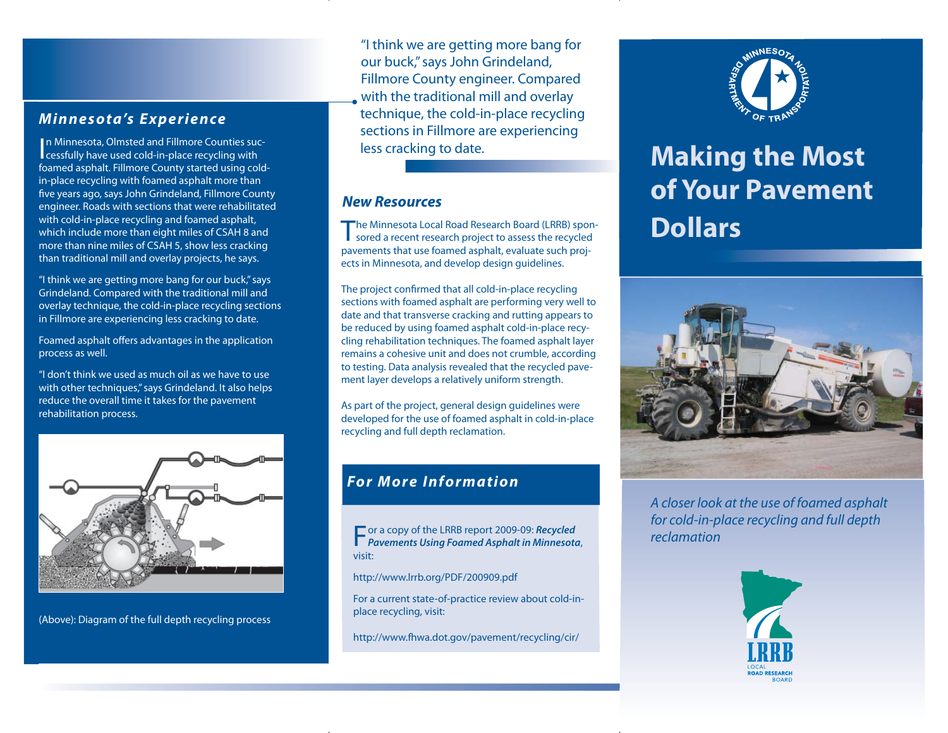#### *Minnesota's Experience*

In Minnesota, Olmsted and Fillmore Counties suc-<br>cessfully have used cold-in-place recycling with foamed asphalt. Fillmore County started using coldin-place recycling with foamed asphalt more than five years ago, says John Grindeland, Fillmore County engineer. Roads with sections that were rehabilitated with cold-in-place recycling and foamed asphalt, which include more than eight miles of CSAH 8 and more than nine miles of CSAH 5, show less cracking than traditional mill and overlay projects, he says.

"I think we are getting more bang for our buck," says Grindeland. Compared with the traditional mill and overlay technique, the cold-in-place recycling sections in Fillmore are experiencing less cracking to date.

Foamed asphalt offers advantages in the application process as well.

"I don't think we used as much oil as we have to use with other techniques," says Grindeland. It also helps reduce the overall time it takes for the pavement rehabilitation process.



(Above): Diagram of the full depth recycling process

"I think we are getting more bang for our buck," says John Grindeland, Fillmore County engineer. Compared with the traditional mill and overlay technique, the cold-in-place recycling sections in Fillmore are experiencing less cracking to date.

#### *New Resources*

The Minnesota Local Road Research Board (LRRB) spon-<br>sored a recent research project to assess the recycled pavements that use foamed asphalt, evaluate such projects in Minnesota, and develop design guidelines.

The project confirmed that all cold-in-place recycling sections with foamed asphalt are performing very well to date and that transverse cracking and rutting appears to be reduced by using foamed asphalt cold-in-place recycling rehabilitation techniques. The foamed asphalt layer remains a cohesive unit and does not crumble, according to testing. Data analysis revealed that the recycled pavement layer develops a relatively uniform strength.

As part of the project, general design guidelines were developed for the use of foamed asphalt in cold-in-place recycling and full depth reclamation.

# *For More Information*

For a copy of the LRRB report 2009-09: *Recycled Pavements Using Foamed Asphalt in Minnesota*, visit:

http://www.lrrb.org/PDF/200909.pdf

For a current state-of-practice review about cold-inplace recycling, visit:

http://www.fhwa.dot.gov/pavement/recycling/cir/



# **Making the Most of Your Pavement Dollars**



A closer look at the use of foamed asphalt for cold-in-place recycling and full depth reclamation